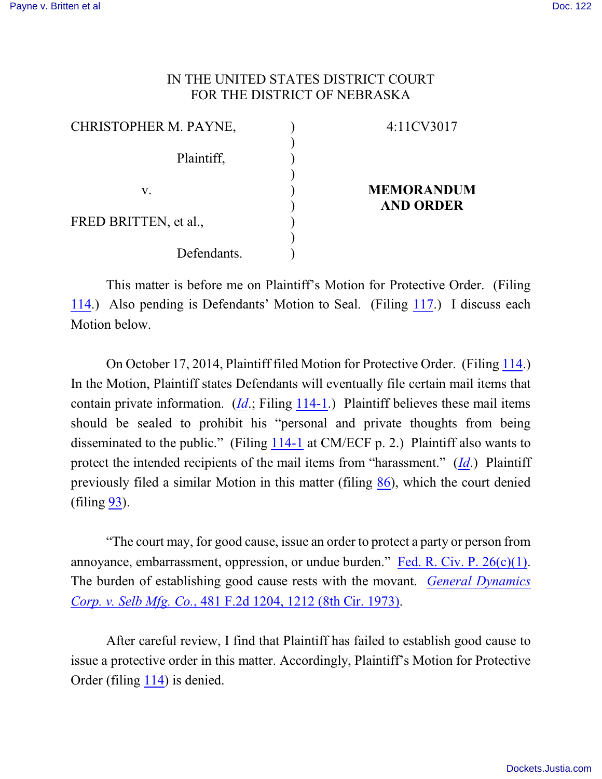## IN THE UNITED STATES DISTRICT COURT FOR THE DISTRICT OF NEBRASKA

| CHRISTOPHER M. PAYNE, | 4:11CV3017        |
|-----------------------|-------------------|
| Plaintiff,            |                   |
| V.                    | <b>MEMORANDUM</b> |
| FRED BRITTEN, et al., | <b>AND ORDER</b>  |
| Defendants.           |                   |

This matter is before me on Plaintiff's Motion for Protective Order. (Filing [114](https://ecf.ned.uscourts.gov/doc1/11303128833).) Also pending is Defendants' Motion to Seal. (Filing [117](https://ecf.ned.uscourts.gov/doc1/11313142665).) I discuss each Motion below.

On October 17, 2014, Plaintiff filed Motion for Protective Order. (Filing [114](https://ecf.ned.uscourts.gov/doc1/11303128833).) In the Motion, Plaintiff states Defendants will eventually file certain mail items that contain private information. (*[Id](https://ecf.ned.uscourts.gov/doc1/11313142665)*.; Filing [114-1](https://ecf.ned.uscourts.gov/doc1/11313128834).) Plaintiff believes these mail items should be sealed to prohibit his "personal and private thoughts from being disseminated to the public." (Filing [114-1](https://ecf.ned.uscourts.gov/doc1/11313128834) at CM/ECF p. 2.) Plaintiff also wants to protect the intended recipients of the mail items from "harassment." (*[Id](https://ecf.ned.uscourts.gov/doc1/11313128834)*.) Plaintiff previously filed a similar Motion in this matter (filing [86](https://ecf.ned.uscourts.gov/doc1/11312628012)), which the court denied (filing [93](https://ecf.ned.uscourts.gov/doc1/11312653643)).

"The court may, for good cause, issue an order to protect a party or person from annoyance, embarrassment, oppression, or undue burden." Fed. R. [Civ. P. 26\(c\)\(1\)](https://web2.westlaw.com/find/default.wl?cite=Fed.+R.+Civ.+P.+26(c)(1)&rs=WLW14.10&vr=2.0&rp=%2ffind%2fdefault.wl&sv=Split&fn=_top&mt=Westlaw). The burden of establishing good cause rests with the movant. *[General Dynamics](https://web2.westlaw.com/find/default.wl?cite=481+F.2d+1212&rs=WLW14.10&vr=2.0&rp=%2ffind%2fdefault.wl&sv=Split&fn=_top&mt=Westlaw) Corp. v. Selb Mfg. Co.*[, 481 F.2d 1204, 1212 \(8th Cir. 1973\)](https://web2.westlaw.com/find/default.wl?cite=481+F.2d+1212&rs=WLW14.10&vr=2.0&rp=%2ffind%2fdefault.wl&sv=Split&fn=_top&mt=Westlaw).

After careful review, I find that Plaintiff has failed to establish good cause to issue a protective order in this matter. Accordingly, Plaintiff's Motion for Protective Order (filing [114](https://ecf.ned.uscourts.gov/doc1/11303128833)) is denied.